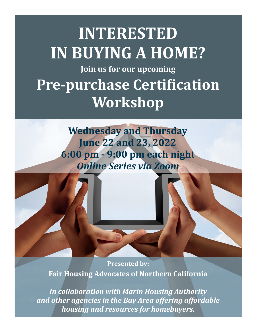# **INTERESTED IN BUYING A HOME? Join us for our upcoming Pre-purchase Certification Workshop**

**Wednesday and Thursday June 22 and 23, 2022 6:00 pm - 9:00 pm each night** *Online Series via Zoom*

**Presented by: Fair Housing Advocates of Northern California** 

*In collaboration with Marin Housing Authority and other agencies in the Bay Area offering affordable housing and resources for homebuyers.*